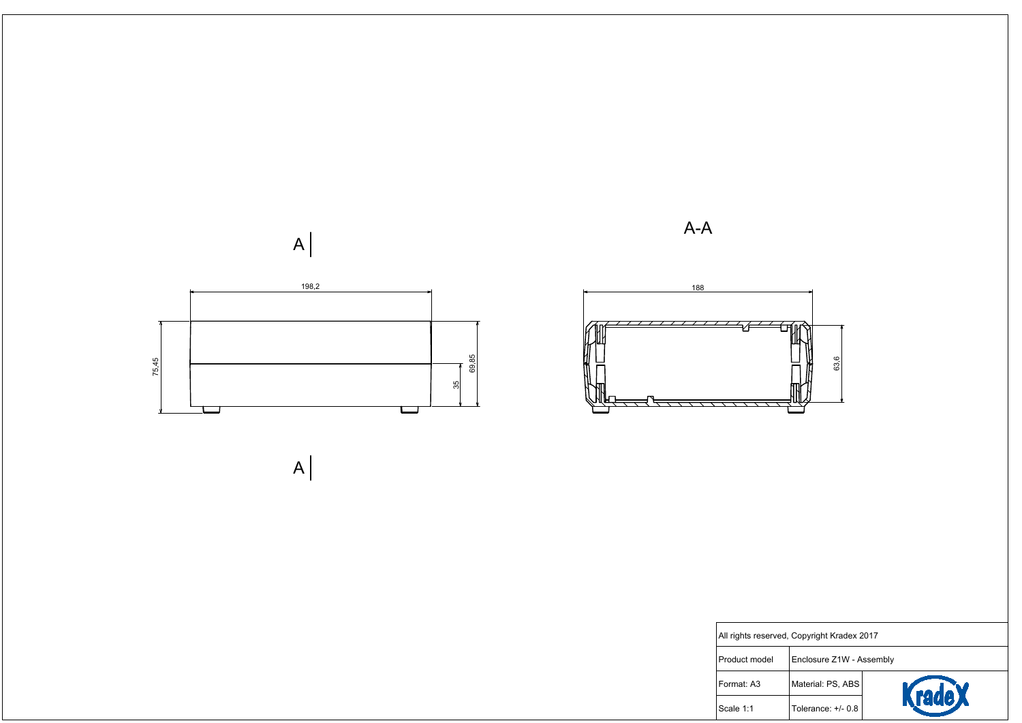

All rights reser

Product model

Format: A3

 $\vert$ Scale 1:1

| rved, Copyright Kradex 2017 |                          |        |  |  |
|-----------------------------|--------------------------|--------|--|--|
|                             | Enclosure Z1W - Assembly |        |  |  |
|                             | Material: PS, ABS        |        |  |  |
|                             | Tolerance: +/- 0.8       | Kradex |  |  |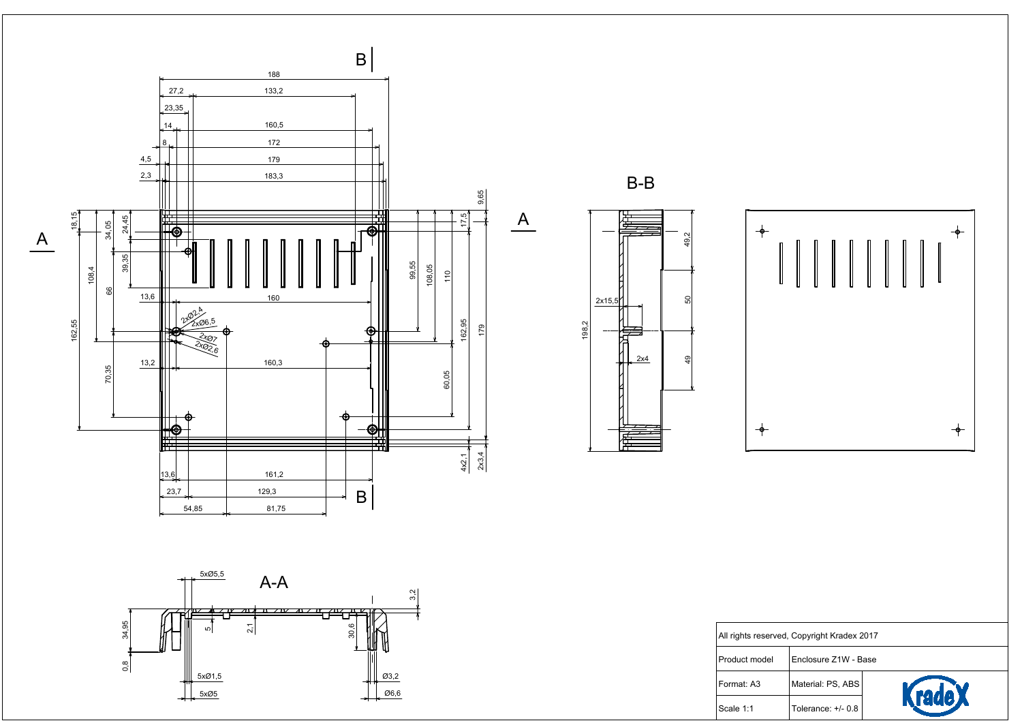







 $-\phi -$ 

Product model Format: A3

Scale 1:1

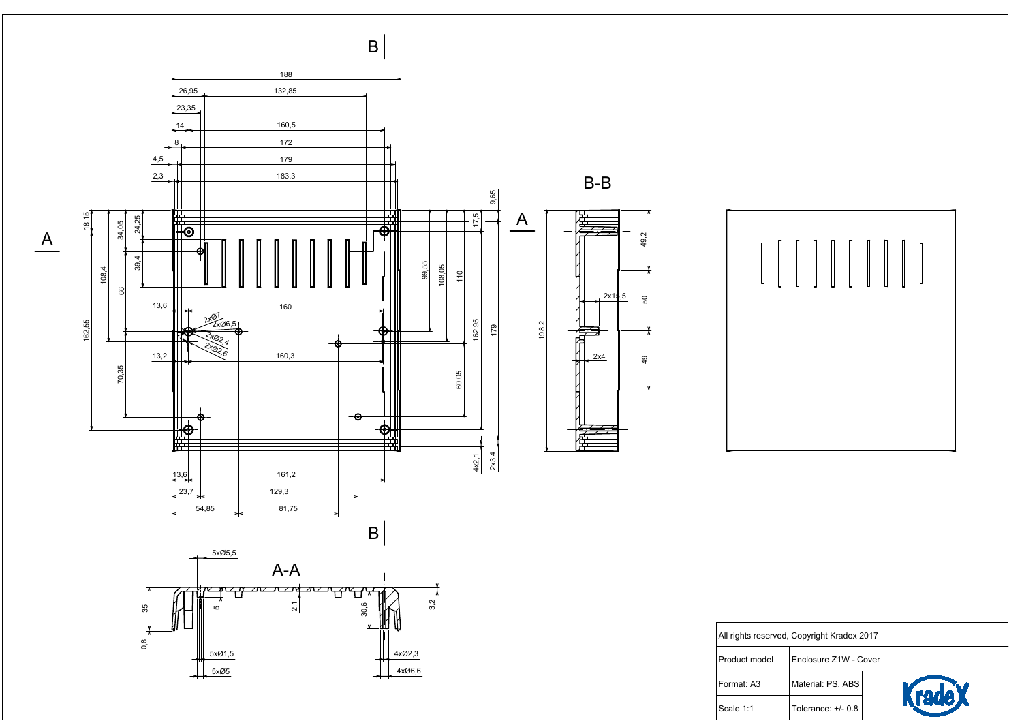

Scale 1:1

| rved, Copyright Kradex 2017 |  |  |  |                       |  |        |  |
|-----------------------------|--|--|--|-----------------------|--|--------|--|
| ۱ļ                          |  |  |  | Enclosure Z1W - Cover |  |        |  |
|                             |  |  |  | Material: PS, ABS     |  | KradeX |  |
|                             |  |  |  | Tolerance: +/- 0.8    |  |        |  |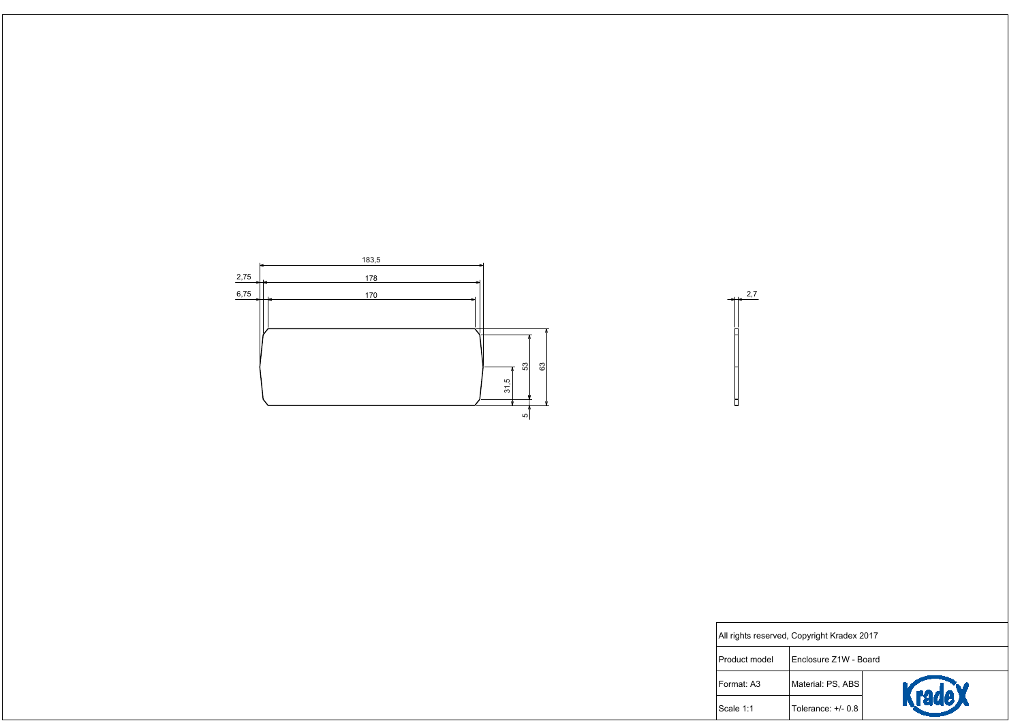

| rved, Copyright Kradex 2017 |                       |               |  |  |  |
|-----------------------------|-----------------------|---------------|--|--|--|
|                             | Enclosure Z1W - Board |               |  |  |  |
|                             | Material: PS, ABS     | <b>rade L</b> |  |  |  |
|                             | Tolerance: +/- 0.8    |               |  |  |  |